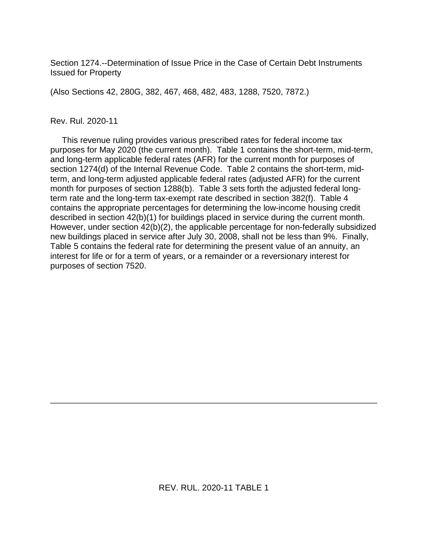Section 1274.--Determination of Issue Price in the Case of Certain Debt Instruments Issued for Property

(Also Sections 42, 280G, 382, 467, 468, 482, 483, 1288, 7520, 7872.)

### Rev. Rul. 2020-11

 This revenue ruling provides various prescribed rates for federal income tax purposes for May 2020 (the current month). Table 1 contains the short-term, mid-term, and long-term applicable federal rates (AFR) for the current month for purposes of section 1274(d) of the Internal Revenue Code. Table 2 contains the short-term, midterm, and long-term adjusted applicable federal rates (adjusted AFR) for the current month for purposes of section 1288(b). Table 3 sets forth the adjusted federal longterm rate and the long-term tax-exempt rate described in section 382(f). Table 4 contains the appropriate percentages for determining the low-income housing credit described in section 42(b)(1) for buildings placed in service during the current month. However, under section 42(b)(2), the applicable percentage for non-federally subsidized new buildings placed in service after July 30, 2008, shall not be less than 9%. Finally, Table 5 contains the federal rate for determining the present value of an annuity, an interest for life or for a term of years, or a remainder or a reversionary interest for purposes of section 7520.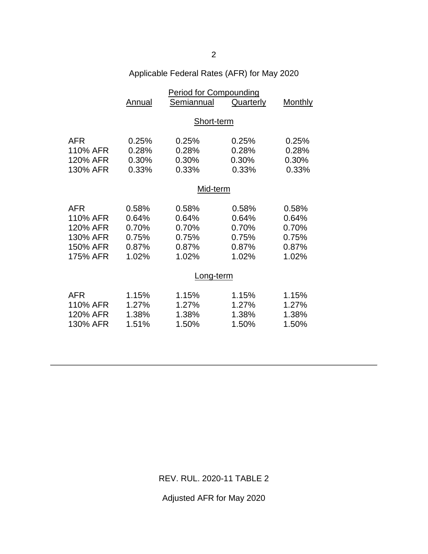| Applicable Federal Rates (AFR) for May 2020 |  |  |  |  |  |  |
|---------------------------------------------|--|--|--|--|--|--|
|---------------------------------------------|--|--|--|--|--|--|

|            | <b>Period for Compounding</b> |            |           |         |  |
|------------|-------------------------------|------------|-----------|---------|--|
|            | Annual                        | Semiannual | Quarterly | Monthly |  |
|            |                               |            |           |         |  |
|            | Short-term                    |            |           |         |  |
|            |                               |            |           |         |  |
| <b>AFR</b> | 0.25%                         | 0.25%      | 0.25%     | 0.25%   |  |
| 110% AFR   | 0.28%                         | 0.28%      | 0.28%     | 0.28%   |  |
| 120% AFR   | 0.30%                         | 0.30%      | 0.30%     | 0.30%   |  |
| 130% AFR   | 0.33%                         | 0.33%      | 0.33%     | 0.33%   |  |
|            |                               |            |           |         |  |
|            | Mid-term                      |            |           |         |  |
| <b>AFR</b> | 0.58%                         | 0.58%      | 0.58%     | 0.58%   |  |
| 110% AFR   | 0.64%                         | 0.64%      | 0.64%     | 0.64%   |  |
| 120% AFR   | 0.70%                         | 0.70%      | 0.70%     | 0.70%   |  |
| 130% AFR   | 0.75%                         | 0.75%      | 0.75%     | 0.75%   |  |
| 150% AFR   | 0.87%                         | 0.87%      | 0.87%     | 0.87%   |  |
| 175% AFR   | 1.02%                         | 1.02%      | 1.02%     | 1.02%   |  |
|            |                               |            |           |         |  |
|            | Long-term                     |            |           |         |  |
|            |                               |            |           |         |  |
| AFR        | 1.15%                         | 1.15%      | 1.15%     | 1.15%   |  |
| 110% AFR   | 1.27%                         | 1.27%      | 1.27%     | 1.27%   |  |
| 120% AFR   | 1.38%                         | 1.38%      | 1.38%     | 1.38%   |  |
| 130% AFR   | 1.51%                         | 1.50%      | 1.50%     | 1.50%   |  |
|            |                               |            |           |         |  |

REV. RUL. 2020-11 TABLE 2

Adjusted AFR for May 2020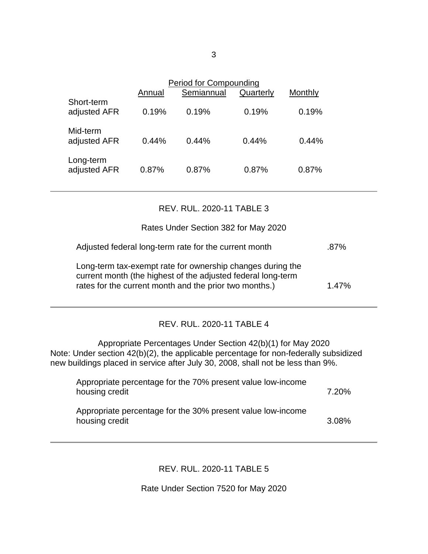|                            | Annual | Period for Compounding<br>Semiannual | Quarterly | Monthly |  |
|----------------------------|--------|--------------------------------------|-----------|---------|--|
| Short-term<br>adjusted AFR | 0.19%  | 0.19%                                | 0.19%     | 0.19%   |  |
| Mid-term<br>adjusted AFR   | 0.44%  | 0.44%                                | 0.44%     | 0.44%   |  |
| Long-term<br>adjusted AFR  | 0.87%  | 0.87%                                | 0.87%     | 0.87%   |  |

## REV. RUL. 2020-11 TABLE 3

## Rates Under Section 382 for May 2020

| Adjusted federal long-term rate for the current month |  |  |  |  |
|-------------------------------------------------------|--|--|--|--|
|                                                       |  |  |  |  |

Long-term tax-exempt rate for ownership changes during the current month (the highest of the adjusted federal long-term rates for the current month and the prior two months.) 1.47%

# REV. RUL. 2020-11 TABLE 4

Appropriate Percentages Under Section 42(b)(1) for May 2020 Note: Under section 42(b)(2), the applicable percentage for non-federally subsidized new buildings placed in service after July 30, 2008, shall not be less than 9%.

| Appropriate percentage for the 70% present value low-income<br>housing credit | 7.20% |
|-------------------------------------------------------------------------------|-------|
| Appropriate percentage for the 30% present value low-income<br>housing credit | 3.08% |

# REV. RUL. 2020-11 TABLE 5

Rate Under Section 7520 for May 2020